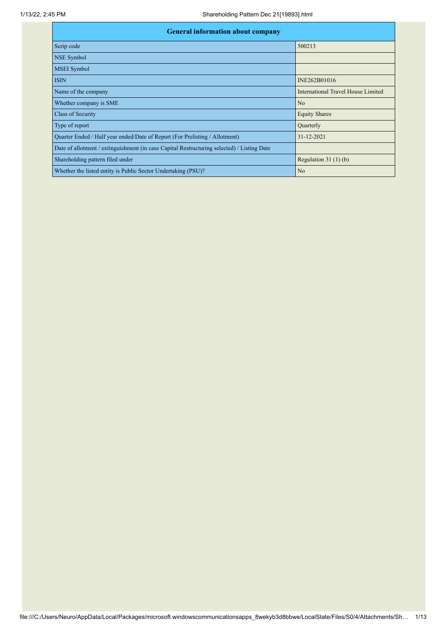| <b>General information about company</b>                                                   |                                    |  |  |  |  |  |  |
|--------------------------------------------------------------------------------------------|------------------------------------|--|--|--|--|--|--|
| Scrip code                                                                                 | 500213                             |  |  |  |  |  |  |
| NSE Symbol                                                                                 |                                    |  |  |  |  |  |  |
| <b>MSEI</b> Symbol                                                                         |                                    |  |  |  |  |  |  |
| <b>ISIN</b>                                                                                | INE262B01016                       |  |  |  |  |  |  |
| Name of the company                                                                        | International Travel House Limited |  |  |  |  |  |  |
| Whether company is SME                                                                     | N <sub>o</sub>                     |  |  |  |  |  |  |
| Class of Security                                                                          | <b>Equity Shares</b>               |  |  |  |  |  |  |
| Type of report                                                                             | Quarterly                          |  |  |  |  |  |  |
| Quarter Ended / Half year ended/Date of Report (For Prelisting / Allotment)                | 31-12-2021                         |  |  |  |  |  |  |
| Date of allotment / extinguishment (in case Capital Restructuring selected) / Listing Date |                                    |  |  |  |  |  |  |
| Shareholding pattern filed under                                                           | Regulation $31(1)(b)$              |  |  |  |  |  |  |
| Whether the listed entity is Public Sector Undertaking (PSU)?                              | N <sub>o</sub>                     |  |  |  |  |  |  |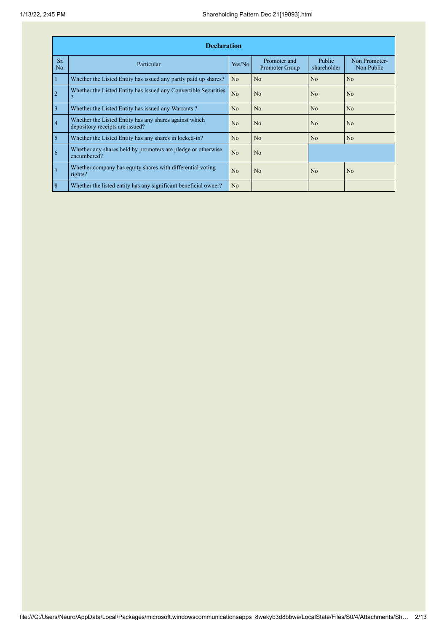|                | <b>Declaration</b>                                                                        |                |                                |                       |                             |  |  |  |  |  |
|----------------|-------------------------------------------------------------------------------------------|----------------|--------------------------------|-----------------------|-----------------------------|--|--|--|--|--|
| Sr.<br>No.     | Particular                                                                                | Yes/No         | Promoter and<br>Promoter Group | Public<br>shareholder | Non Promoter-<br>Non Public |  |  |  |  |  |
| $\mathbf{1}$   | Whether the Listed Entity has issued any partly paid up shares?                           | N <sub>o</sub> | N <sub>o</sub>                 | N <sub>o</sub>        | N <sub>o</sub>              |  |  |  |  |  |
| $\overline{2}$ | Whether the Listed Entity has issued any Convertible Securities                           | No             | N <sub>o</sub>                 | N <sub>0</sub>        | No                          |  |  |  |  |  |
| $\overline{3}$ | Whether the Listed Entity has issued any Warrants?                                        | N <sub>o</sub> | N <sub>o</sub>                 | N <sub>o</sub>        | N <sub>o</sub>              |  |  |  |  |  |
| $\overline{4}$ | Whether the Listed Entity has any shares against which<br>depository receipts are issued? | No             | N <sub>o</sub>                 | N <sub>0</sub>        | N <sub>0</sub>              |  |  |  |  |  |
| $\overline{5}$ | Whether the Listed Entity has any shares in locked-in?                                    | N <sub>o</sub> | N <sub>o</sub>                 | N <sub>o</sub>        | N <sub>o</sub>              |  |  |  |  |  |
| 6              | Whether any shares held by promoters are pledge or otherwise<br>encumbered?               | N <sub>o</sub> | N <sub>o</sub>                 |                       |                             |  |  |  |  |  |
| 7              | Whether company has equity shares with differential voting<br>rights?                     | No             | N <sub>o</sub>                 | N <sub>o</sub>        | N <sub>o</sub>              |  |  |  |  |  |
| 8              | Whether the listed entity has any significant beneficial owner?                           | N <sub>o</sub> |                                |                       |                             |  |  |  |  |  |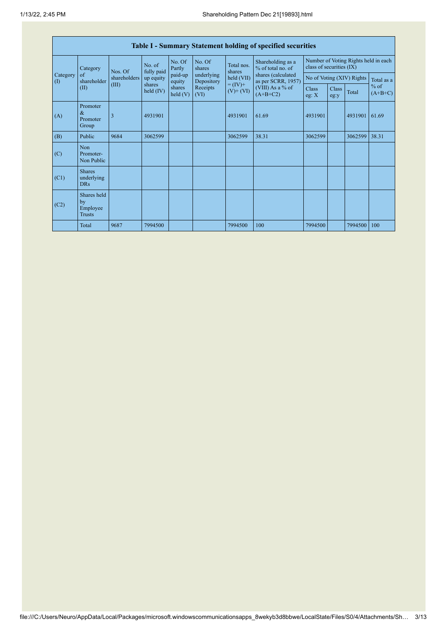|                                        | <b>Table I - Summary Statement holding of specified securities</b> |              |                       |                      |                          |                              |                                          |                                                                  |               |         |                     |
|----------------------------------------|--------------------------------------------------------------------|--------------|-----------------------|----------------------|--------------------------|------------------------------|------------------------------------------|------------------------------------------------------------------|---------------|---------|---------------------|
|                                        | Category                                                           | Nos. Of      | No. of<br>fully paid  | No. Of<br>Partly     | No. Of<br>shares         | Total nos.<br>shares         | Shareholding as a<br>% of total no. of   | Number of Voting Rights held in each<br>class of securities (IX) |               |         |                     |
| Category<br>$\left( \mathrm{I}\right)$ | of<br>shareholder                                                  | shareholders | up equity             | paid-up<br>equity    | underlying<br>Depository | held (VII)                   | shares (calculated<br>as per SCRR, 1957) | No of Voting (XIV) Rights                                        |               |         | Total as a          |
|                                        | (II)                                                               | (III)        | shares<br>held $(IV)$ | shares<br>held $(V)$ | Receipts<br>(VI)         | $= (IV) +$<br>$(V)$ + $(VI)$ | (VIII) As a % of<br>$(A+B+C2)$           | Class<br>eg: X                                                   | Class<br>eg:y | Total   | $%$ of<br>$(A+B+C)$ |
| (A)                                    | Promoter<br>$\&$<br>Promoter<br>Group                              | 3            | 4931901               |                      |                          | 4931901                      | 61.69                                    | 4931901                                                          |               | 4931901 | 61.69               |
| (B)                                    | Public                                                             | 9684         | 3062599               |                      |                          | 3062599                      | 38.31                                    | 3062599                                                          |               | 3062599 | 38.31               |
| (C)                                    | Non<br>Promoter-<br>Non Public                                     |              |                       |                      |                          |                              |                                          |                                                                  |               |         |                     |
| (C1)                                   | <b>Shares</b><br>underlying<br><b>DRs</b>                          |              |                       |                      |                          |                              |                                          |                                                                  |               |         |                     |
| (C2)                                   | Shares held<br>by<br>Employee<br><b>Trusts</b>                     |              |                       |                      |                          |                              |                                          |                                                                  |               |         |                     |
|                                        | Total                                                              | 9687         | 7994500               |                      |                          | 7994500                      | 100                                      | 7994500                                                          |               | 7994500 | 100                 |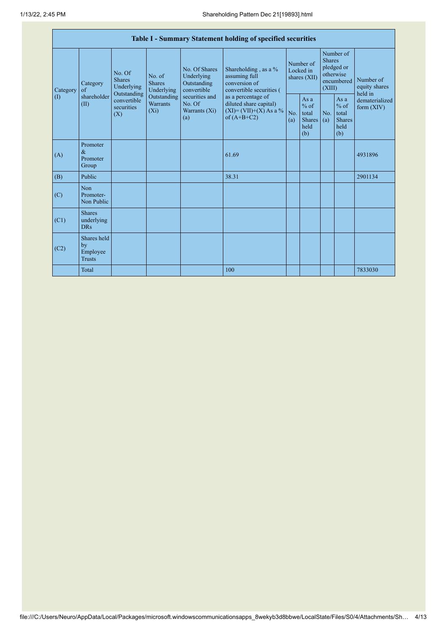| Table I - Summary Statement holding of specified securities |                                                |                                       |                                                                                            |                                                                                                               |                                                                                                                                                                                  |                                        |                                                         |                                                                               |                                                         |                                       |
|-------------------------------------------------------------|------------------------------------------------|---------------------------------------|--------------------------------------------------------------------------------------------|---------------------------------------------------------------------------------------------------------------|----------------------------------------------------------------------------------------------------------------------------------------------------------------------------------|----------------------------------------|---------------------------------------------------------|-------------------------------------------------------------------------------|---------------------------------------------------------|---------------------------------------|
| Category<br>$\left( \mathrm{I}\right)$                      | Category<br>of<br>shareholder<br>(II)<br>(X)   | No. Of<br><b>Shares</b><br>Underlying | No. of<br><b>Shares</b><br>Underlying<br>Outstanding<br>Outstanding<br>Warrants<br>$(X_i)$ | No. Of Shares<br>Underlying<br>Outstanding<br>convertible<br>securities and<br>No. Of<br>Warrants (Xi)<br>(a) | Shareholding, as a %<br>assuming full<br>conversion of<br>convertible securities (<br>as a percentage of<br>diluted share capital)<br>$(XI) = (VII)+(X) As a %$<br>of $(A+B+C2)$ | Number of<br>Locked in<br>shares (XII) |                                                         | Number of<br><b>Shares</b><br>pledged or<br>otherwise<br>encumbered<br>(XIII) |                                                         | Number of<br>equity shares<br>held in |
|                                                             |                                                | convertible<br>securities             |                                                                                            |                                                                                                               |                                                                                                                                                                                  | No.<br>(a)                             | As a<br>$%$ of<br>total<br><b>Shares</b><br>held<br>(b) | No.<br>(a)                                                                    | As a<br>$%$ of<br>total<br><b>Shares</b><br>held<br>(b) | dematerialized<br>form $(XIV)$        |
| (A)                                                         | Promoter<br>$\&$<br>Promoter<br>Group          |                                       |                                                                                            |                                                                                                               | 61.69                                                                                                                                                                            |                                        |                                                         |                                                                               |                                                         | 4931896                               |
| (B)                                                         | Public                                         |                                       |                                                                                            |                                                                                                               | 38.31                                                                                                                                                                            |                                        |                                                         |                                                                               |                                                         | 2901134                               |
| (C)                                                         | <b>Non</b><br>Promoter-<br>Non Public          |                                       |                                                                                            |                                                                                                               |                                                                                                                                                                                  |                                        |                                                         |                                                                               |                                                         |                                       |
| (C1)                                                        | <b>Shares</b><br>underlying<br><b>DRs</b>      |                                       |                                                                                            |                                                                                                               |                                                                                                                                                                                  |                                        |                                                         |                                                                               |                                                         |                                       |
| (C2)                                                        | Shares held<br>by<br>Employee<br><b>Trusts</b> |                                       |                                                                                            |                                                                                                               |                                                                                                                                                                                  |                                        |                                                         |                                                                               |                                                         |                                       |
|                                                             | Total                                          |                                       |                                                                                            |                                                                                                               | 100                                                                                                                                                                              |                                        |                                                         |                                                                               |                                                         | 7833030                               |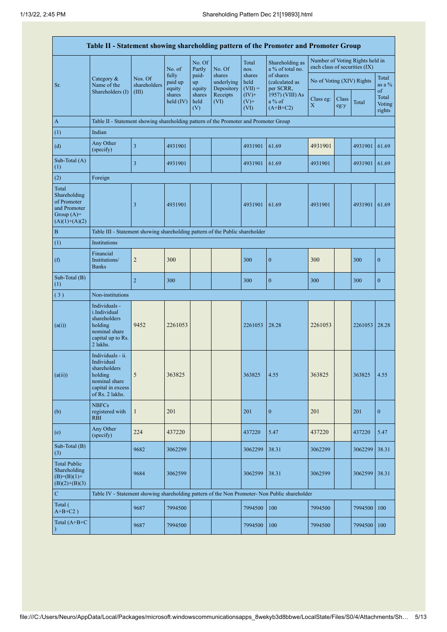|                                                                                         |                                                                                                                     |                         |                            |                       |                                    |                             | Table II - Statement showing shareholding pattern of the Promoter and Promoter Group          |                               |               |                                 |                           |
|-----------------------------------------------------------------------------------------|---------------------------------------------------------------------------------------------------------------------|-------------------------|----------------------------|-----------------------|------------------------------------|-----------------------------|-----------------------------------------------------------------------------------------------|-------------------------------|---------------|---------------------------------|---------------------------|
|                                                                                         |                                                                                                                     |                         | No. of                     | No. Of<br>Partly      | No. Of                             | Total<br>nos.               | Shareholding as<br>a % of total no.                                                           | each class of securities (IX) |               | Number of Voting Rights held in |                           |
| Sr.                                                                                     | Category $\&$<br>Name of the                                                                                        | Nos. Of<br>shareholders | fully<br>paid up<br>equity | paid-<br>up<br>equity | shares<br>underlying<br>Depository | shares<br>held<br>$(VII) =$ | of shares<br>(calculated as<br>per SCRR,                                                      | No of Voting (XIV) Rights     |               |                                 | Total<br>as a $\%$<br>of  |
|                                                                                         | Shareholders (I)                                                                                                    | (III)                   | shares<br>held $(IV)$      | shares<br>held<br>(V) | Receipts<br>(VI)                   | $(IV)+$<br>$(V)$ +<br>(VI)  | 1957) (VIII) As<br>a % of<br>$(A+B+C2)$                                                       | Class eg:<br>$\mathbf X$      | Class<br>eg:y | Total                           | Total<br>Voting<br>rights |
| A                                                                                       | Table II - Statement showing shareholding pattern of the Promoter and Promoter Group                                |                         |                            |                       |                                    |                             |                                                                                               |                               |               |                                 |                           |
| (1)                                                                                     | Indian                                                                                                              |                         |                            |                       |                                    |                             |                                                                                               |                               |               |                                 |                           |
| (d)                                                                                     | Any Other<br>(specify)                                                                                              | $\overline{\mathbf{3}}$ | 4931901                    |                       |                                    | 4931901                     | 61.69                                                                                         | 4931901                       |               | 4931901                         | 61.69                     |
| Sub-Total (A)<br>(1)                                                                    |                                                                                                                     | 3                       | 4931901                    |                       |                                    | 4931901                     | 61.69                                                                                         | 4931901                       |               | 4931901                         | 61.69                     |
| (2)                                                                                     | Foreign                                                                                                             |                         |                            |                       |                                    |                             |                                                                                               |                               |               |                                 |                           |
| Total<br>Shareholding<br>of Promoter<br>and Promoter<br>Group $(A)=$<br>$(A)(1)+(A)(2)$ |                                                                                                                     | 3                       | 4931901                    |                       |                                    | 4931901                     | 61.69                                                                                         | 4931901                       |               | 4931901                         | 61.69                     |
| $\, {\bf B}$                                                                            | Table III - Statement showing shareholding pattern of the Public shareholder                                        |                         |                            |                       |                                    |                             |                                                                                               |                               |               |                                 |                           |
| (1)                                                                                     | Institutions                                                                                                        |                         |                            |                       |                                    |                             |                                                                                               |                               |               |                                 |                           |
| (f)                                                                                     | Financial<br>Institutions/<br><b>Banks</b>                                                                          | $\overline{c}$          | 300                        |                       |                                    | 300                         | $\boldsymbol{0}$                                                                              | 300                           |               | 300                             | $\mathbf{0}$              |
| Sub-Total (B)<br>(1)                                                                    |                                                                                                                     | $\sqrt{2}$              | 300                        |                       |                                    | 300                         | $\boldsymbol{0}$                                                                              | 300                           |               | 300                             | $\boldsymbol{0}$          |
| (3)                                                                                     | Non-institutions                                                                                                    |                         |                            |                       |                                    |                             |                                                                                               |                               |               |                                 |                           |
| (a(i))                                                                                  | Individuals -<br>i.Individual<br>shareholders<br>holding<br>nominal share<br>capital up to Rs.<br>2 lakhs.          | 9452                    | 2261053                    |                       |                                    | 2261053                     | 28.28                                                                                         | 2261053                       |               | 2261053                         | 28.28                     |
| (a(ii))                                                                                 | Individuals - ii.<br>Individual<br>shareholders<br>holding<br>nominal share<br>capital in excess<br>of Rs. 2 lakhs. | $\sqrt{5}$              | 363825                     |                       |                                    | 363825                      | 4.55                                                                                          | 363825                        |               | 363825                          | 4.55                      |
| (b)                                                                                     | <b>NBFCs</b><br>registered with<br><b>RBI</b>                                                                       | $\mathbf{1}$            | 201                        |                       |                                    | 201                         | $\mathbf{0}$                                                                                  | 201                           |               | 201                             | $\mathbf{0}$              |
| (e)                                                                                     | Any Other<br>(specify)                                                                                              | 224                     | 437220                     |                       |                                    | 437220                      | 5.47                                                                                          | 437220                        |               | 437220                          | 5.47                      |
| Sub-Total (B)<br>(3)                                                                    |                                                                                                                     | 9682                    | 3062299                    |                       |                                    | 3062299                     | 38.31                                                                                         | 3062299                       |               | 3062299                         | 38.31                     |
| <b>Total Public</b><br>Shareholding<br>$(B)= (B)(1) +$<br>$(B)(2)+(B)(3)$               |                                                                                                                     | 9684                    | 3062599                    |                       |                                    | 3062599                     | 38.31                                                                                         | 3062599                       |               | 3062599                         | 38.31                     |
| ${\bf C}$                                                                               |                                                                                                                     |                         |                            |                       |                                    |                             | Table IV - Statement showing shareholding pattern of the Non Promoter- Non Public shareholder |                               |               |                                 |                           |
| Total (<br>$A+B+C2$ )                                                                   |                                                                                                                     | 9687                    | 7994500                    |                       |                                    | 7994500                     | 100                                                                                           | 7994500                       |               | 7994500                         | 100                       |
| Total (A+B+C<br>$\mathcal{E}$                                                           |                                                                                                                     | 9687                    | 7994500                    |                       |                                    | 7994500                     | 100                                                                                           | 7994500                       |               | 7994500                         | 100                       |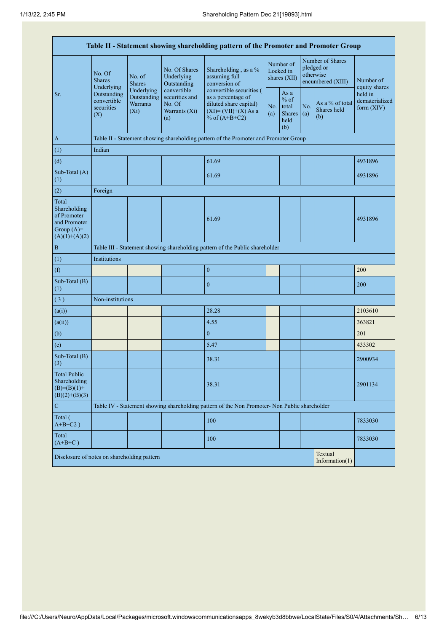| Table II - Statement showing shareholding pattern of the Promoter and Promoter Group    |                                                                                                            |                         |                                                                 |                                                                                                                        |  |                                                         |            |                                                                  |                                           |  |
|-----------------------------------------------------------------------------------------|------------------------------------------------------------------------------------------------------------|-------------------------|-----------------------------------------------------------------|------------------------------------------------------------------------------------------------------------------------|--|---------------------------------------------------------|------------|------------------------------------------------------------------|-------------------------------------------|--|
|                                                                                         | No. Of<br><b>Shares</b><br>Underlying                                                                      | No. of<br><b>Shares</b> | No. Of Shares<br>Underlying<br>Outstanding                      | Shareholding, as a %<br>assuming full<br>conversion of                                                                 |  | Number of<br>Locked in<br>shares (XII)                  |            | Number of Shares<br>pledged or<br>otherwise<br>encumbered (XIII) | Number of<br>equity shares                |  |
| Sr.                                                                                     | Underlying<br>Outstanding<br>Outstanding<br>convertible<br><b>Warrants</b><br>securities<br>$(X_i)$<br>(X) |                         | convertible<br>securities and<br>No. Of<br>Warrants (Xi)<br>(a) | convertible securities (<br>as a percentage of<br>diluted share capital)<br>$(XI) = (VII)+(X) As a$<br>% of $(A+B+C2)$ |  | As a<br>$%$ of<br>total<br><b>Shares</b><br>held<br>(b) | No.<br>(a) | As a % of total<br>Shares held<br>(b)                            | held in<br>dematerialized<br>form $(XIV)$ |  |
| $\mathbf{A}$                                                                            |                                                                                                            |                         |                                                                 | Table II - Statement showing shareholding pattern of the Promoter and Promoter Group                                   |  |                                                         |            |                                                                  |                                           |  |
| (1)                                                                                     | Indian                                                                                                     |                         |                                                                 |                                                                                                                        |  |                                                         |            |                                                                  |                                           |  |
| (d)                                                                                     |                                                                                                            |                         |                                                                 | 61.69                                                                                                                  |  |                                                         |            |                                                                  | 4931896                                   |  |
| Sub-Total (A)<br>(1)                                                                    |                                                                                                            |                         |                                                                 | 61.69                                                                                                                  |  |                                                         |            |                                                                  | 4931896                                   |  |
| (2)                                                                                     | Foreign                                                                                                    |                         |                                                                 |                                                                                                                        |  |                                                         |            |                                                                  |                                           |  |
| Total<br>Shareholding<br>of Promoter<br>and Promoter<br>Group $(A)=$<br>$(A)(1)+(A)(2)$ |                                                                                                            |                         |                                                                 | 61.69                                                                                                                  |  |                                                         |            |                                                                  | 4931896                                   |  |
| $\, {\bf B}$                                                                            |                                                                                                            |                         |                                                                 | Table III - Statement showing shareholding pattern of the Public shareholder                                           |  |                                                         |            |                                                                  |                                           |  |
| (1)                                                                                     | Institutions                                                                                               |                         |                                                                 |                                                                                                                        |  |                                                         |            |                                                                  |                                           |  |
| (f)                                                                                     |                                                                                                            |                         |                                                                 | $\boldsymbol{0}$                                                                                                       |  |                                                         |            |                                                                  | 200                                       |  |
| Sub-Total (B)<br>(1)                                                                    |                                                                                                            |                         |                                                                 | $\boldsymbol{0}$                                                                                                       |  |                                                         |            |                                                                  | 200                                       |  |
| (3)                                                                                     | Non-institutions                                                                                           |                         |                                                                 |                                                                                                                        |  |                                                         |            |                                                                  |                                           |  |
| (a(i))                                                                                  |                                                                                                            |                         |                                                                 | 28.28                                                                                                                  |  |                                                         |            |                                                                  | 2103610                                   |  |
| (a(ii))                                                                                 |                                                                                                            |                         |                                                                 | 4.55                                                                                                                   |  |                                                         |            |                                                                  | 363821                                    |  |
| (b)                                                                                     |                                                                                                            |                         |                                                                 | $\boldsymbol{0}$                                                                                                       |  |                                                         |            |                                                                  | 201                                       |  |
| (e)                                                                                     |                                                                                                            |                         |                                                                 | 5.47                                                                                                                   |  |                                                         |            |                                                                  | 433302                                    |  |
| Sub-Total (B)<br>(3)                                                                    |                                                                                                            |                         |                                                                 | 38.31                                                                                                                  |  |                                                         |            |                                                                  | 2900934                                   |  |
| <b>Total Public</b><br>Shareholding<br>$(B)= (B)(1) +$<br>$(B)(2)+(B)(3)$               |                                                                                                            |                         |                                                                 | 38.31                                                                                                                  |  |                                                         |            |                                                                  | 2901134                                   |  |
| ${\bf C}$                                                                               |                                                                                                            |                         |                                                                 | Table IV - Statement showing shareholding pattern of the Non Promoter- Non Public shareholder                          |  |                                                         |            |                                                                  |                                           |  |
| Total (<br>$A+B+C2$ )                                                                   |                                                                                                            |                         |                                                                 | 100                                                                                                                    |  |                                                         |            |                                                                  | 7833030                                   |  |
| Total<br>$(A+B+C)$                                                                      |                                                                                                            |                         |                                                                 | 100                                                                                                                    |  |                                                         |            |                                                                  | 7833030                                   |  |
|                                                                                         | Textual<br>Disclosure of notes on shareholding pattern<br>Information $(1)$                                |                         |                                                                 |                                                                                                                        |  |                                                         |            |                                                                  |                                           |  |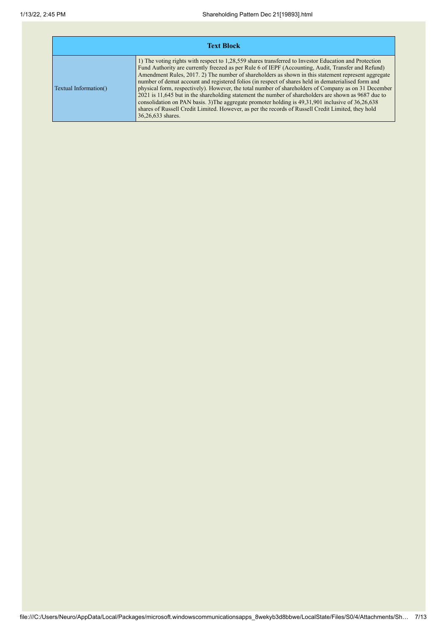| <b>Text Block</b>     |                                                                                                                                                                                                                                                                                                                                                                                                                                                                                                                                                                                                                                                                                                                                                                                                                                                                                |  |  |  |  |  |  |
|-----------------------|--------------------------------------------------------------------------------------------------------------------------------------------------------------------------------------------------------------------------------------------------------------------------------------------------------------------------------------------------------------------------------------------------------------------------------------------------------------------------------------------------------------------------------------------------------------------------------------------------------------------------------------------------------------------------------------------------------------------------------------------------------------------------------------------------------------------------------------------------------------------------------|--|--|--|--|--|--|
| Textual Information() | 1) The voting rights with respect to 1,28,559 shares transferred to Investor Education and Protection<br>Fund Authority are currently freezed as per Rule 6 of IEPF (Accounting, Audit, Transfer and Refund)<br>Amendment Rules, 2017. 2) The number of shareholders as shown in this statement represent aggregate<br>number of demat account and registered folios (in respect of shares held in dematerialised form and<br>physical form, respectively). However, the total number of shareholders of Company as on 31 December<br>2021 is 11,645 but in the shareholding statement the number of shareholders are shown as 9687 due to<br>consolidation on PAN basis. 3) The aggregate promoter holding is 49, 31, 901 inclusive of 36, 26, 638<br>shares of Russell Credit Limited. However, as per the records of Russell Credit Limited, they hold<br>36,26,633 shares. |  |  |  |  |  |  |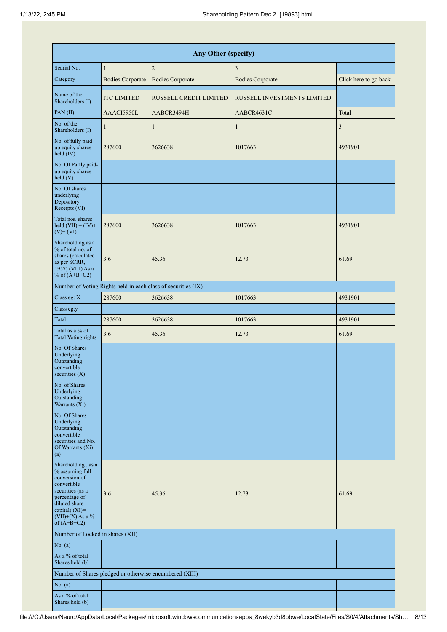| Any Other (specify)                                                                                                                                                                     |                         |                                                               |                             |                       |  |  |  |  |  |  |
|-----------------------------------------------------------------------------------------------------------------------------------------------------------------------------------------|-------------------------|---------------------------------------------------------------|-----------------------------|-----------------------|--|--|--|--|--|--|
| Searial No.                                                                                                                                                                             | $\mathbf{1}$            | $\sqrt{2}$                                                    | 3                           |                       |  |  |  |  |  |  |
| Category                                                                                                                                                                                | <b>Bodies Corporate</b> | <b>Bodies Corporate</b>                                       | <b>Bodies Corporate</b>     | Click here to go back |  |  |  |  |  |  |
| Name of the<br>Shareholders (I)                                                                                                                                                         | <b>ITC LIMITED</b>      | RUSSELL CREDIT LIMITED                                        | RUSSELL INVESTMENTS LIMITED |                       |  |  |  |  |  |  |
| PAN(II)                                                                                                                                                                                 | AAACI5950L              | AABCR3494H                                                    | AABCR4631C                  | Total                 |  |  |  |  |  |  |
| No. of the<br>Shareholders (I)                                                                                                                                                          | $\mathbf{1}$            | 1                                                             | $\mathbf{1}$                | 3                     |  |  |  |  |  |  |
| No. of fully paid<br>up equity shares<br>$\hat{\text{held}}(IV)$                                                                                                                        | 287600                  | 3626638                                                       | 1017663                     | 4931901               |  |  |  |  |  |  |
| No. Of Partly paid-<br>up equity shares<br>held(V)                                                                                                                                      |                         |                                                               |                             |                       |  |  |  |  |  |  |
| No. Of shares<br>underlying<br>Depository<br>Receipts (VI)                                                                                                                              |                         |                                                               |                             |                       |  |  |  |  |  |  |
| Total nos. shares<br>held $(VII) = (IV) +$<br>$(V)$ + $(VI)$                                                                                                                            | 287600                  | 3626638                                                       | 1017663                     | 4931901               |  |  |  |  |  |  |
| Shareholding as a<br>% of total no. of<br>shares (calculated<br>3.6<br>as per SCRR,<br>$1957$ ) (VIII) As a<br>% of $(A+B+C2)$                                                          |                         | 45.36                                                         | 12.73                       | 61.69                 |  |  |  |  |  |  |
|                                                                                                                                                                                         |                         | Number of Voting Rights held in each class of securities (IX) |                             |                       |  |  |  |  |  |  |
| Class eg: X                                                                                                                                                                             | 287600                  | 3626638                                                       | 1017663                     | 4931901               |  |  |  |  |  |  |
| Class eg:y                                                                                                                                                                              |                         |                                                               |                             |                       |  |  |  |  |  |  |
| Total                                                                                                                                                                                   | 287600                  | 3626638                                                       | 1017663                     | 4931901               |  |  |  |  |  |  |
| Total as a % of<br><b>Total Voting rights</b>                                                                                                                                           | 3.6                     | 45.36                                                         | 12.73                       | 61.69                 |  |  |  |  |  |  |
| No. Of Shares<br>Underlying<br>Outstanding<br>convertible<br>securities $(X)$                                                                                                           |                         |                                                               |                             |                       |  |  |  |  |  |  |
| No. of Shares<br>Underlying<br>Outstanding<br>Warrants (Xi)                                                                                                                             |                         |                                                               |                             |                       |  |  |  |  |  |  |
| No. Of Shares<br>Underlying<br>Outstanding<br>convertible<br>securities and No.<br>Of Warrants (Xi)<br>(a)                                                                              |                         |                                                               |                             |                       |  |  |  |  |  |  |
| Shareholding, as a<br>% assuming full<br>conversion of<br>convertible<br>securities (as a<br>percentage of<br>diluted share<br>capital) $(XI)$ =<br>$(VII)+(X)$ As a %<br>of $(A+B+C2)$ | 3.6                     | 45.36                                                         | 12.73                       | 61.69                 |  |  |  |  |  |  |
| Number of Locked in shares (XII)                                                                                                                                                        |                         |                                                               |                             |                       |  |  |  |  |  |  |
| No. (a)                                                                                                                                                                                 |                         |                                                               |                             |                       |  |  |  |  |  |  |
| As a % of total<br>Shares held (b)                                                                                                                                                      |                         |                                                               |                             |                       |  |  |  |  |  |  |
|                                                                                                                                                                                         |                         | Number of Shares pledged or otherwise encumbered (XIII)       |                             |                       |  |  |  |  |  |  |
| No. (a)                                                                                                                                                                                 |                         |                                                               |                             |                       |  |  |  |  |  |  |
| As a % of total<br>Shares held (b)                                                                                                                                                      |                         |                                                               |                             |                       |  |  |  |  |  |  |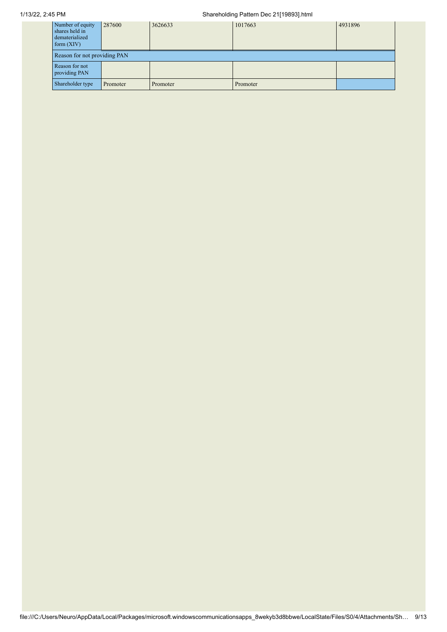## 1/13/22, 2:45 PM Shareholding Pattern Dec 21[19893].html

| Number of equity<br>shares held in<br>dematerialized<br>form $(XIV)$ | 287600                       | 3626633  | 1017663  | 4931896 |  |  |  |  |  |  |
|----------------------------------------------------------------------|------------------------------|----------|----------|---------|--|--|--|--|--|--|
|                                                                      | Reason for not providing PAN |          |          |         |  |  |  |  |  |  |
| Reason for not<br>providing PAN                                      |                              |          |          |         |  |  |  |  |  |  |
| Shareholder type                                                     | Promoter                     | Promoter | Promoter |         |  |  |  |  |  |  |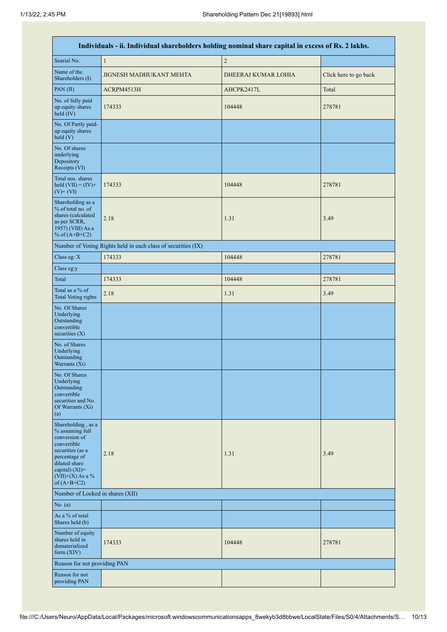|                                                                                                                                                                                      | Individuals - ii. Individual shareholders holding nominal share capital in excess of Rs. 2 lakhs. |                     |                       |  |  |  |  |  |  |
|--------------------------------------------------------------------------------------------------------------------------------------------------------------------------------------|---------------------------------------------------------------------------------------------------|---------------------|-----------------------|--|--|--|--|--|--|
| Searial No.                                                                                                                                                                          | $\mathbf{1}$                                                                                      | $\sqrt{2}$          |                       |  |  |  |  |  |  |
| Name of the<br>Shareholders (I)                                                                                                                                                      | <b>JIGNESH MADHUKANT MEHTA</b>                                                                    | DHEERAJ KUMAR LOHIA | Click here to go back |  |  |  |  |  |  |
| PAN(II)                                                                                                                                                                              | ACRPM4513H                                                                                        | AHCPK2417L          | Total                 |  |  |  |  |  |  |
| No. of fully paid<br>up equity shares<br>held (IV)                                                                                                                                   | 174333                                                                                            | 104448              | 278781                |  |  |  |  |  |  |
| No. Of Partly paid-<br>up equity shares<br>held(V)                                                                                                                                   |                                                                                                   |                     |                       |  |  |  |  |  |  |
| No. Of shares<br>underlying<br>Depository<br>Receipts (VI)                                                                                                                           |                                                                                                   |                     |                       |  |  |  |  |  |  |
| Total nos. shares<br>held $(VII) = (IV) +$<br>$(V)$ + $(VI)$                                                                                                                         | 174333                                                                                            | 104448              | 278781                |  |  |  |  |  |  |
| Shareholding as a<br>% of total no. of<br>shares (calculated<br>as per SCRR,<br>1957) (VIII) As a<br>% of $(A+B+C2)$                                                                 | 2.18                                                                                              | 1.31                | 3.49                  |  |  |  |  |  |  |
|                                                                                                                                                                                      | Number of Voting Rights held in each class of securities (IX)                                     |                     |                       |  |  |  |  |  |  |
| Class eg: X                                                                                                                                                                          | 174333                                                                                            | 104448              | 278781                |  |  |  |  |  |  |
| Class eg:y                                                                                                                                                                           |                                                                                                   |                     |                       |  |  |  |  |  |  |
| Total                                                                                                                                                                                | 174333                                                                                            | 104448              | 278781                |  |  |  |  |  |  |
| Total as a % of<br><b>Total Voting rights</b>                                                                                                                                        | 2.18                                                                                              | 1.31                | 3.49                  |  |  |  |  |  |  |
| No. Of Shares<br>Underlying<br>Outstanding<br>convertible<br>securities $(X)$                                                                                                        |                                                                                                   |                     |                       |  |  |  |  |  |  |
| No. of Shares<br>Underlying<br>Outstanding<br>Warrants (Xi)                                                                                                                          |                                                                                                   |                     |                       |  |  |  |  |  |  |
| No. Of Shares<br>Underlying<br>Outstanding<br>convertible<br>securities and No.<br>Of Warrants (Xi)<br>(a)                                                                           |                                                                                                   |                     |                       |  |  |  |  |  |  |
| Shareholding, as a<br>% assuming full<br>conversion of<br>convertible<br>securities (as a<br>percentage of<br>diluted share<br>capital) (XI)=<br>$(VII)+(X)$ As a %<br>of $(A+B+C2)$ | 2.18                                                                                              | 1.31                | 3.49                  |  |  |  |  |  |  |
| Number of Locked in shares (XII)                                                                                                                                                     |                                                                                                   |                     |                       |  |  |  |  |  |  |
| No. (a)                                                                                                                                                                              |                                                                                                   |                     |                       |  |  |  |  |  |  |
| As a % of total<br>Shares held (b)                                                                                                                                                   |                                                                                                   |                     |                       |  |  |  |  |  |  |
| Number of equity<br>shares held in<br>dematerialized<br>form $(XIV)$                                                                                                                 | 174333                                                                                            | 104448              | 278781                |  |  |  |  |  |  |
| Reason for not providing PAN                                                                                                                                                         |                                                                                                   |                     |                       |  |  |  |  |  |  |
| Reason for not<br>providing PAN                                                                                                                                                      |                                                                                                   |                     |                       |  |  |  |  |  |  |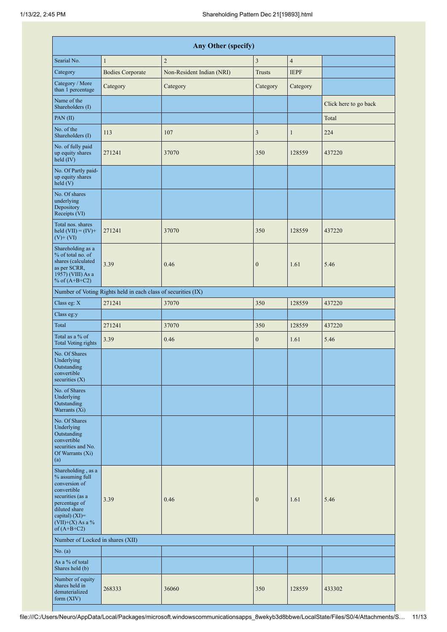| Any Other (specify)                                                                                                                                                                     |                                                               |                           |                |                |                       |  |  |  |  |
|-----------------------------------------------------------------------------------------------------------------------------------------------------------------------------------------|---------------------------------------------------------------|---------------------------|----------------|----------------|-----------------------|--|--|--|--|
| Searial No.                                                                                                                                                                             | $\mathbf{1}$                                                  | $\sqrt{2}$                | $\overline{3}$ | $\overline{4}$ |                       |  |  |  |  |
| Category                                                                                                                                                                                | <b>Bodies Corporate</b>                                       | Non-Resident Indian (NRI) | <b>Trusts</b>  | <b>IEPF</b>    |                       |  |  |  |  |
| Category / More<br>than 1 percentage                                                                                                                                                    | Category                                                      | Category                  | Category       | Category       |                       |  |  |  |  |
| Name of the<br>Shareholders (I)                                                                                                                                                         |                                                               |                           |                |                | Click here to go back |  |  |  |  |
| PAN(II)                                                                                                                                                                                 |                                                               |                           |                |                | Total                 |  |  |  |  |
| No. of the<br>Shareholders (I)                                                                                                                                                          | 113                                                           | 107                       | 3              | $\mathbf{1}$   | 224                   |  |  |  |  |
| No. of fully paid<br>up equity shares<br>held (IV)                                                                                                                                      | 271241                                                        | 37070                     | 350            | 128559         | 437220                |  |  |  |  |
| No. Of Partly paid-<br>up equity shares<br>held(V)                                                                                                                                      |                                                               |                           |                |                |                       |  |  |  |  |
| No. Of shares<br>underlying<br>Depository<br>Receipts (VI)                                                                                                                              |                                                               |                           |                |                |                       |  |  |  |  |
| Total nos. shares<br>held $(VII) = (IV) +$<br>$(V)$ + $(VI)$                                                                                                                            | 271241                                                        | 37070                     | 350            | 128559         | 437220                |  |  |  |  |
| Shareholding as a<br>% of total no. of<br>shares (calculated<br>as per SCRR,<br>1957) (VIII) As a<br>% of $(A+B+C2)$                                                                    | 3.39                                                          | 0.46                      | $\mathbf{0}$   | 1.61           | 5.46                  |  |  |  |  |
|                                                                                                                                                                                         | Number of Voting Rights held in each class of securities (IX) |                           |                |                |                       |  |  |  |  |
| Class eg: X                                                                                                                                                                             | 271241                                                        | 37070                     | 350            | 128559         | 437220                |  |  |  |  |
| Class eg:y                                                                                                                                                                              |                                                               |                           |                |                |                       |  |  |  |  |
| Total                                                                                                                                                                                   | 271241                                                        | 37070                     | 350            | 128559         | 437220                |  |  |  |  |
| Total as a % of<br><b>Total Voting rights</b>                                                                                                                                           | 3.39                                                          | 0.46                      | $\mathbf{0}$   | 1.61           | 5.46                  |  |  |  |  |
| No. Of Shares<br>Underlying<br>Outstanding<br>convertible<br>securities (X)                                                                                                             |                                                               |                           |                |                |                       |  |  |  |  |
| No. of Shares<br>Underlying<br>Outstanding<br>Warrants (Xi)                                                                                                                             |                                                               |                           |                |                |                       |  |  |  |  |
| No. Of Shares<br>Underlying<br>Outstanding<br>convertible<br>securities and No.<br>Of Warrants (Xi)<br>(a)                                                                              |                                                               |                           |                |                |                       |  |  |  |  |
| Shareholding, as a<br>% assuming full<br>conversion of<br>convertible<br>securities (as a<br>percentage of<br>diluted share<br>capital) $(XI)$ =<br>$(VII)+(X)$ As a %<br>of $(A+B+C2)$ | 3.39                                                          | 0.46                      | $\mathbf{0}$   | 1.61           | 5.46                  |  |  |  |  |
| Number of Locked in shares (XII)                                                                                                                                                        |                                                               |                           |                |                |                       |  |  |  |  |
| No. (a)                                                                                                                                                                                 |                                                               |                           |                |                |                       |  |  |  |  |
| As a % of total<br>Shares held (b)                                                                                                                                                      |                                                               |                           |                |                |                       |  |  |  |  |
| Number of equity<br>shares held in<br>dematerialized<br>form (XIV)                                                                                                                      | 268333                                                        | 36060                     | 350            | 128559         | 433302                |  |  |  |  |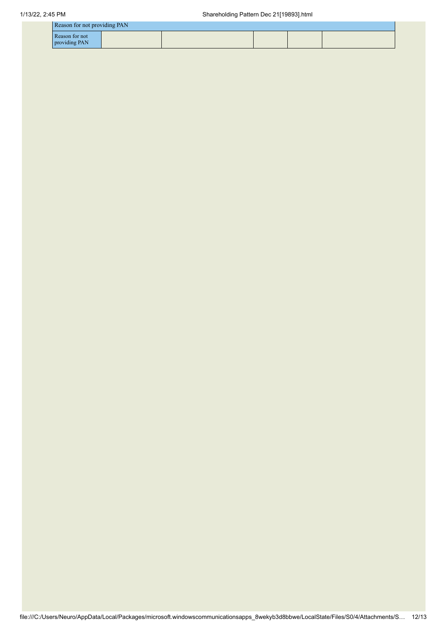| Reason for not providing PAN    |  |  |  |
|---------------------------------|--|--|--|
| Reason for not<br>providing PAN |  |  |  |